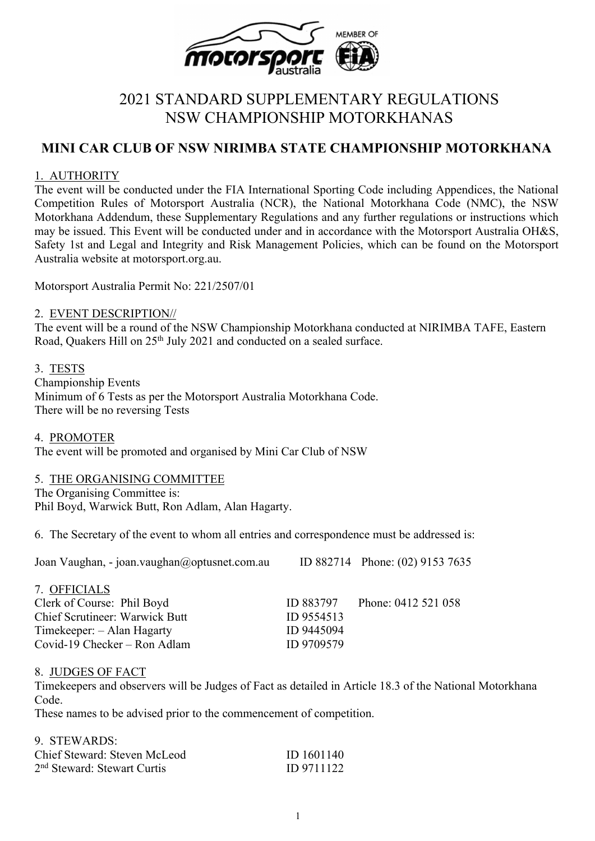

# 2021 STANDARD SUPPLEMENTARY REGULATIONS NSW CHAMPIONSHIP MOTORKHANAS

## **MINI CAR CLUB OF NSW NIRIMBA STATE CHAMPIONSHIP MOTORKHANA**

### 1. AUTHORITY

The event will be conducted under the FIA International Sporting Code including Appendices, the National Competition Rules of Motorsport Australia (NCR), the National Motorkhana Code (NMC), the NSW Motorkhana Addendum, these Supplementary Regulations and any further regulations or instructions which may be issued. This Event will be conducted under and in accordance with the Motorsport Australia OH&S, Safety 1st and Legal and Integrity and Risk Management Policies, which can be found on the Motorsport Australia website at motorsport.org.au.

Motorsport Australia Permit No: 221/2507/01

#### 2. EVENT DESCRIPTION//

The event will be a round of the NSW Championship Motorkhana conducted at NIRIMBA TAFE, Eastern Road, Quakers Hill on 25<sup>th</sup> July 2021 and conducted on a sealed surface.

### 3. TESTS

Championship Events Minimum of 6 Tests as per the Motorsport Australia Motorkhana Code. There will be no reversing Tests

#### 4. PROMOTER

The event will be promoted and organised by Mini Car Club of NSW

### 5. THE ORGANISING COMMITTEE

The Organising Committee is: Phil Boyd, Warwick Butt, Ron Adlam, Alan Hagarty.

6. The Secretary of the event to whom all entries and correspondence must be addressed is:

| Joan Vaughan, - joan.vaughan@optusnet.com.au |            | ID 882714 Phone: (02) 9153 7635 |  |
|----------------------------------------------|------------|---------------------------------|--|
| 7. OFFICIALS                                 |            |                                 |  |
| Clerk of Course: Phil Boyd                   | ID 883797  | Phone: 0412 521 058             |  |
| <b>Chief Scrutineer: Warwick Butt</b>        | ID 9554513 |                                 |  |
| Timekeeper: - Alan Hagarty                   | ID 9445094 |                                 |  |
| Covid-19 Checker – Ron Adlam                 | ID 9709579 |                                 |  |

#### 8. JUDGES OF FACT

Timekeepers and observers will be Judges of Fact as detailed in Article 18.3 of the National Motorkhana Code.

These names to be advised prior to the commencement of competition.

#### 9. STEWARDS:

| Chief Steward: Steven McLeod            | ID 1601140 |
|-----------------------------------------|------------|
| 2 <sup>nd</sup> Steward: Stewart Curtis | ID 9711122 |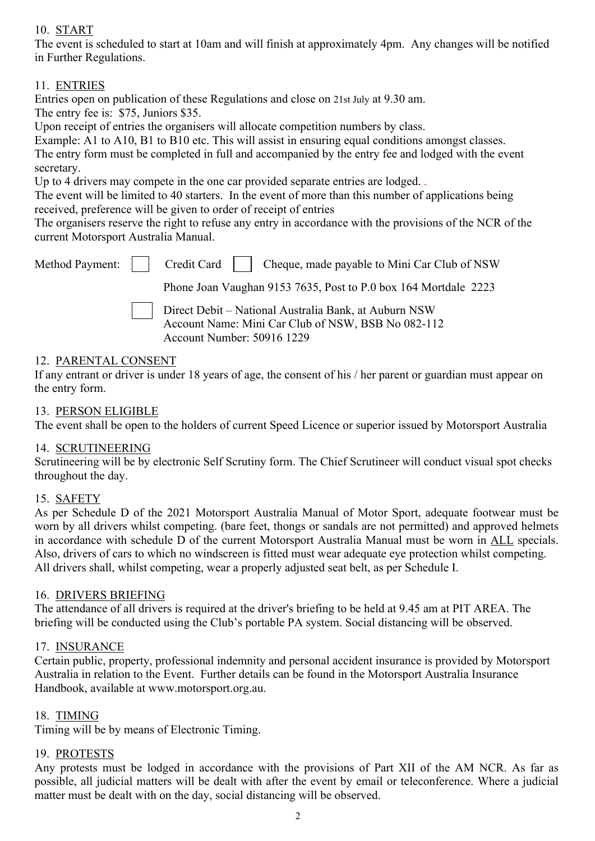## 10. START

The event is scheduled to start at 10am and will finish at approximately 4pm. Any changes will be notified in Further Regulations.

## 11. ENTRIES

Entries open on publication of these Regulations and close on 21st July at 9.30 am.

The entry fee is: \$75, Juniors \$35.

Upon receipt of entries the organisers will allocate competition numbers by class.

Example: A1 to A10, B1 to B10 etc. This will assist in ensuring equal conditions amongst classes.

The entry form must be completed in full and accompanied by the entry fee and lodged with the event secretary.

Up to 4 drivers may compete in the one car provided separate entries are lodged.

The event will be limited to 40 starters. In the event of more than this number of applications being received, preference will be given to order of receipt of entries

The organisers reserve the right to refuse any entry in accordance with the provisions of the NCR of the current Motorsport Australia Manual.

|  | Method Payment:     Credit Card     Cheque, made payable to Mini Car Club of NSW                                                          |
|--|-------------------------------------------------------------------------------------------------------------------------------------------|
|  | Phone Joan Vaughan 9153 7635, Post to P.0 box 164 Mortdale 2223                                                                           |
|  | Direct Debit - National Australia Bank, at Auburn NSW<br>Account Name: Mini Car Club of NSW, BSB No 082-112<br>Account Number: 50916 1229 |

### 12. PARENTAL CONSENT

If any entrant or driver is under 18 years of age, the consent of his / her parent or guardian must appear on the entry form.

## 13. PERSON ELIGIBLE

The event shall be open to the holders of current Speed Licence or superior issued by Motorsport Australia

### 14. SCRUTINEERING

Scrutineering will be by electronic Self Scrutiny form. The Chief Scrutineer will conduct visual spot checks throughout the day.

### 15. SAFETY

As per Schedule D of the 2021 Motorsport Australia Manual of Motor Sport, adequate footwear must be worn by all drivers whilst competing. (bare feet, thongs or sandals are not permitted) and approved helmets in accordance with schedule D of the current Motorsport Australia Manual must be worn in ALL specials. Also, drivers of cars to which no windscreen is fitted must wear adequate eye protection whilst competing. All drivers shall, whilst competing, wear a properly adjusted seat belt, as per Schedule I.

#### 16. DRIVERS BRIEFING

The attendance of all drivers is required at the driver's briefing to be held at 9.45 am at PIT AREA. The briefing will be conducted using the Club's portable PA system. Social distancing will be observed.

#### 17. INSURANCE

Certain public, property, professional indemnity and personal accident insurance is provided by Motorsport Australia in relation to the Event. Further details can be found in the Motorsport Australia Insurance Handbook, available at www.motorsport.org.au.

### 18. TIMING

Timing will be by means of Electronic Timing.

### 19. PROTESTS

Any protests must be lodged in accordance with the provisions of Part XII of the AM NCR. As far as possible, all judicial matters will be dealt with after the event by email or teleconference. Where a judicial matter must be dealt with on the day, social distancing will be observed.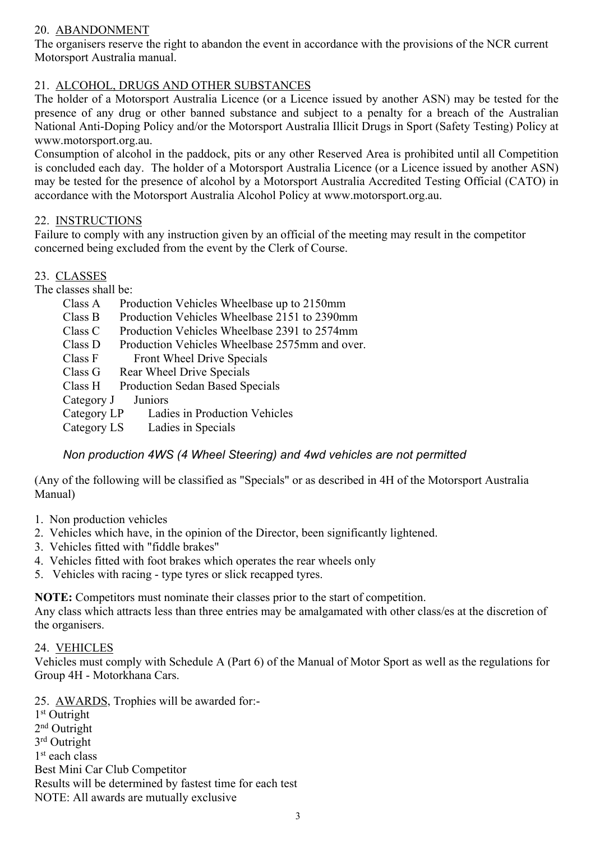## 20. ABANDONMENT

The organisers reserve the right to abandon the event in accordance with the provisions of the NCR current Motorsport Australia manual.

## 21. ALCOHOL, DRUGS AND OTHER SUBSTANCES

The holder of a Motorsport Australia Licence (or a Licence issued by another ASN) may be tested for the presence of any drug or other banned substance and subject to a penalty for a breach of the Australian National Anti-Doping Policy and/or the Motorsport Australia Illicit Drugs in Sport (Safety Testing) Policy at www.motorsport.org.au.

Consumption of alcohol in the paddock, pits or any other Reserved Area is prohibited until all Competition is concluded each day. The holder of a Motorsport Australia Licence (or a Licence issued by another ASN) may be tested for the presence of alcohol by a Motorsport Australia Accredited Testing Official (CATO) in accordance with the Motorsport Australia Alcohol Policy at www.motorsport.org.au.

### 22. INSTRUCTIONS

Failure to comply with any instruction given by an official of the meeting may result in the competitor concerned being excluded from the event by the Clerk of Course.

### 23. CLASSES

The classes shall be:

- Class A Production Vehicles Wheelbase up to 2150mm Class B Production Vehicles Wheelbase 2151 to 2390mm Class C Production Vehicles Wheelbase 2391 to 2574mm Class D Production Vehicles Wheelbase 2575mm and over. Class F Front Wheel Drive Specials Class G Rear Wheel Drive Specials
- Class H Production Sedan Based Specials<br>Category J Juniors
- Category J

Category LP Ladies in Production Vehicles

Category LS Ladies in Specials

### *Non production 4WS (4 Wheel Steering) and 4wd vehicles are not permitted*

(Any of the following will be classified as "Specials" or as described in 4H of the Motorsport Australia Manual)

- 1. Non production vehicles
- 2. Vehicles which have, in the opinion of the Director, been significantly lightened.
- 3. Vehicles fitted with "fiddle brakes"
- 4. Vehicles fitted with foot brakes which operates the rear wheels only
- 5. Vehicles with racing type tyres or slick recapped tyres.

**NOTE:** Competitors must nominate their classes prior to the start of competition.

Any class which attracts less than three entries may be amalgamated with other class/es at the discretion of the organisers.

#### 24. VEHICLES

Vehicles must comply with Schedule A (Part 6) of the Manual of Motor Sport as well as the regulations for Group 4H - Motorkhana Cars.

25. AWARDS, Trophies will be awarded for:-

1<sup>st</sup> Outright 2<sup>nd</sup> Outright 3<sup>rd</sup> Outright 1<sup>st</sup> each class Best Mini Car Club Competitor Results will be determined by fastest time for each test NOTE: All awards are mutually exclusive